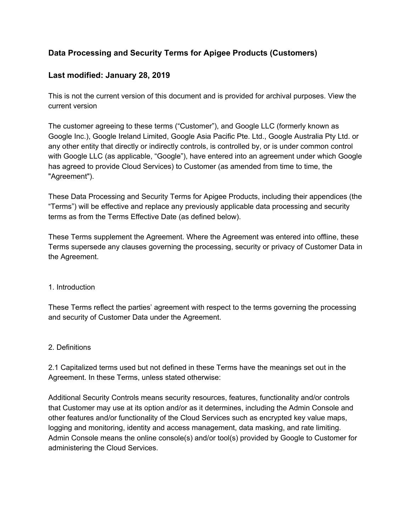# **Data Processing and Security Terms for Apigee Products (Customers)**

# **Last modified: January 28, 2019**

This is not the current version of this document and is provided for archival purposes. View the current version

The customer agreeing to these terms ("Customer"), and Google LLC (formerly known as Google Inc.), Google Ireland Limited, Google Asia Pacific Pte. Ltd., Google Australia Pty Ltd. or any other entity that directly or indirectly controls, is controlled by, or is under common control with Google LLC (as applicable, "Google"), have entered into an agreement under which Google has agreed to provide Cloud Services) to Customer (as amended from time to time, the "Agreement").

These Data Processing and Security Terms for Apigee Products, including their appendices (the "Terms") will be effective and replace any previously applicable data processing and security terms as from the Terms Effective Date (as defined below).

These Terms supplement the Agreement. Where the Agreement was entered into offline, these Terms supersede any clauses governing the processing, security or privacy of Customer Data in the Agreement.

### 1. Introduction

These Terms reflect the parties' agreement with respect to the terms governing the processing and security of Customer Data under the Agreement.

### 2. Definitions

2.1 Capitalized terms used but not defined in these Terms have the meanings set out in the Agreement. In these Terms, unless stated otherwise:

Additional Security Controls means security resources, features, functionality and/or controls that Customer may use at its option and/or as it determines, including the Admin Console and other features and/or functionality of the Cloud Services such as encrypted key value maps, logging and monitoring, identity and access management, data masking, and rate limiting. Admin Console means the online console(s) and/or tool(s) provided by Google to Customer for administering the Cloud Services.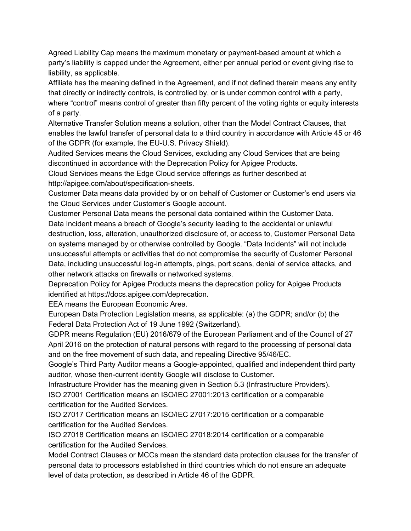Agreed Liability Cap means the maximum monetary or payment-based amount at which a party's liability is capped under the Agreement, either per annual period or event giving rise to liability, as applicable.

Affiliate has the meaning defined in the Agreement, and if not defined therein means any entity that directly or indirectly controls, is controlled by, or is under common control with a party, where "control" means control of greater than fifty percent of the voting rights or equity interests of a party.

Alternative Transfer Solution means a solution, other than the Model Contract Clauses, that enables the lawful transfer of personal data to a third country in accordance with Article 45 or 46 of the GDPR (for example, the EU-U.S. Privacy Shield).

Audited Services means the Cloud Services, excluding any Cloud Services that are being discontinued in accordance with the Deprecation Policy for Apigee Products.

Cloud Services means the Edge Cloud service offerings as further described at http://apigee.com/about/specification-sheets.

Customer Data means data provided by or on behalf of Customer or Customer's end users via the Cloud Services under Customer's Google account.

Customer Personal Data means the personal data contained within the Customer Data. Data Incident means a breach of Google's security leading to the accidental or unlawful destruction, loss, alteration, unauthorized disclosure of, or access to, Customer Personal Data on systems managed by or otherwise controlled by Google. "Data Incidents" will not include unsuccessful attempts or activities that do not compromise the security of Customer Personal Data, including unsuccessful log-in attempts, pings, port scans, denial of service attacks, and other network attacks on firewalls or networked systems.

Deprecation Policy for Apigee Products means the deprecation policy for Apigee Products identified at https://docs.apigee.com/deprecation.

EEA means the European Economic Area.

European Data Protection Legislation means, as applicable: (a) the GDPR; and/or (b) the Federal Data Protection Act of 19 June 1992 (Switzerland).

GDPR means Regulation (EU) 2016/679 of the European Parliament and of the Council of 27 April 2016 on the protection of natural persons with regard to the processing of personal data and on the free movement of such data, and repealing Directive 95/46/EC.

Google's Third Party Auditor means a Google-appointed, qualified and independent third party auditor, whose then-current identity Google will disclose to Customer.

Infrastructure Provider has the meaning given in Section 5.3 (Infrastructure Providers). ISO 27001 Certification means an ISO/IEC 27001:2013 certification or a comparable certification for the Audited Services.

ISO 27017 Certification means an ISO/IEC 27017:2015 certification or a comparable certification for the Audited Services.

ISO 27018 Certification means an ISO/IEC 27018:2014 certification or a comparable certification for the Audited Services.

Model Contract Clauses or MCCs mean the standard data protection clauses for the transfer of personal data to processors established in third countries which do not ensure an adequate level of data protection, as described in Article 46 of the GDPR.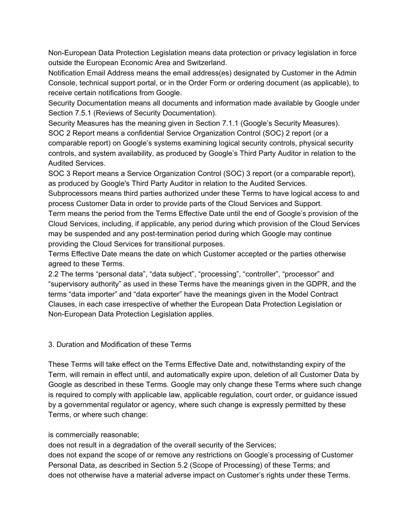Non-European Data Protection Legislation means data protection or privacy legislation in force outside the European Economic Area and Switzerland.

Notification Email Address means the email address(es) designated by Customer in the Admin Console, technical support portal, or in the Order Form or ordering document (as applicable), to receive certain notifications from Google.

Security Documentation means all documents and information made available by Google under Section 7.5.1 (Reviews of Security Documentation).

Security Measures has the meaning given in Section 7.1.1 (Google's Security Measures). SOC 2 Report means a confidential Service Organization Control (SOC) 2 report (or a comparable report) on Google's systems examining logical security controls, physical security controls, and system availability, as produced by Google's Third Party Auditor in relation to the Audited Services.

SOC 3 Report means a Service Organization Control (SOC) 3 report (or a comparable report), as produced by Google's Third Party Auditor in relation to the Audited Services.

Subprocessors means third parties authorized under these Terms to have logical access to and process Customer Data in order to provide parts of the Cloud Services and Support.

Term means the period from the Terms Effective Date until the end of Google's provision of the Cloud Services, including, if applicable, any period during which provision of the Cloud Services may be suspended and any post-termination period during which Google may continue providing the Cloud Services for transitional purposes.

Terms Effective Date means the date on which Customer accepted or the parties otherwise agreed to these Terms.

2.2 The terms "personal data", "data subject", "processing", "controller", "processor" and "supervisory authority" as used in these Terms have the meanings given in the GDPR, and the terms "data importer" and "data exporter" have the meanings given in the Model Contract Clauses, in each case irrespective of whether the European Data Protection Legislation or Non-European Data Protection Legislation applies.

### 3. Duration and Modification of these Terms

These Terms will take effect on the Terms Effective Date and, notwithstanding expiry of the Term, will remain in effect until, and automatically expire upon, deletion of all Customer Data by Google as described in these Terms. Google may only change these Terms where such change is required to comply with applicable law, applicable regulation, court order, or guidance issued by a governmental regulator or agency, where such change is expressly permitted by these Terms, or where such change:

### is commercially reasonable;

does not result in a degradation of the overall security of the Services;

does not expand the scope of or remove any restrictions on Google's processing of Customer Personal Data, as described in Section 5.2 (Scope of Processing) of these Terms; and does not otherwise have a material adverse impact on Customer's rights under these Terms.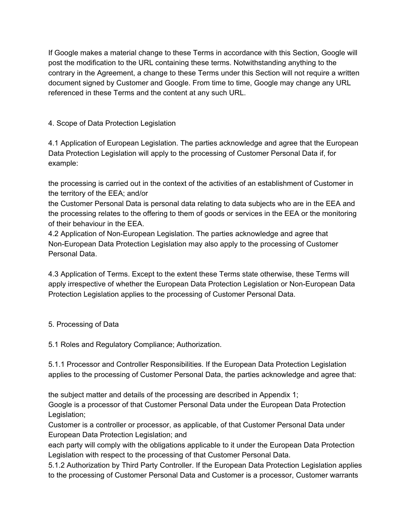If Google makes a material change to these Terms in accordance with this Section, Google will post the modification to the URL containing these terms. Notwithstanding anything to the contrary in the Agreement, a change to these Terms under this Section will not require a written document signed by Customer and Google. From time to time, Google may change any URL referenced in these Terms and the content at any such URL.

# 4. Scope of Data Protection Legislation

4.1 Application of European Legislation. The parties acknowledge and agree that the European Data Protection Legislation will apply to the processing of Customer Personal Data if, for example:

the processing is carried out in the context of the activities of an establishment of Customer in the territory of the EEA; and/or

the Customer Personal Data is personal data relating to data subjects who are in the EEA and the processing relates to the offering to them of goods or services in the EEA or the monitoring of their behaviour in the EEA.

4.2 Application of Non-European Legislation. The parties acknowledge and agree that Non-European Data Protection Legislation may also apply to the processing of Customer Personal Data.

4.3 Application of Terms. Except to the extent these Terms state otherwise, these Terms will apply irrespective of whether the European Data Protection Legislation or Non-European Data Protection Legislation applies to the processing of Customer Personal Data.

### 5. Processing of Data

5.1 Roles and Regulatory Compliance; Authorization.

5.1.1 Processor and Controller Responsibilities. If the European Data Protection Legislation applies to the processing of Customer Personal Data, the parties acknowledge and agree that:

the subject matter and details of the processing are described in Appendix 1;

Google is a processor of that Customer Personal Data under the European Data Protection Legislation;

Customer is a controller or processor, as applicable, of that Customer Personal Data under European Data Protection Legislation; and

each party will comply with the obligations applicable to it under the European Data Protection Legislation with respect to the processing of that Customer Personal Data.

5.1.2 Authorization by Third Party Controller. If the European Data Protection Legislation applies to the processing of Customer Personal Data and Customer is a processor, Customer warrants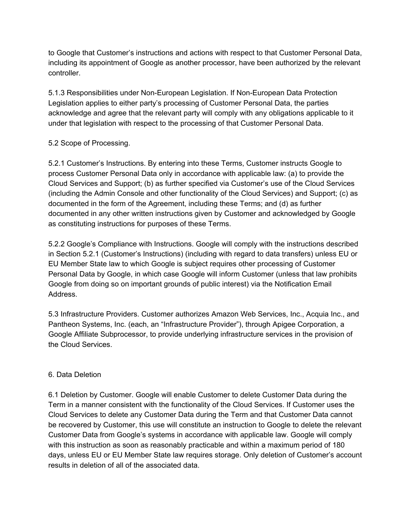to Google that Customer's instructions and actions with respect to that Customer Personal Data, including its appointment of Google as another processor, have been authorized by the relevant controller.

5.1.3 Responsibilities under Non-European Legislation. If Non-European Data Protection Legislation applies to either party's processing of Customer Personal Data, the parties acknowledge and agree that the relevant party will comply with any obligations applicable to it under that legislation with respect to the processing of that Customer Personal Data.

# 5.2 Scope of Processing.

5.2.1 Customer's Instructions. By entering into these Terms, Customer instructs Google to process Customer Personal Data only in accordance with applicable law: (a) to provide the Cloud Services and Support; (b) as further specified via Customer's use of the Cloud Services (including the Admin Console and other functionality of the Cloud Services) and Support; (c) as documented in the form of the Agreement, including these Terms; and (d) as further documented in any other written instructions given by Customer and acknowledged by Google as constituting instructions for purposes of these Terms.

5.2.2 Google's Compliance with Instructions. Google will comply with the instructions described in Section 5.2.1 (Customer's Instructions) (including with regard to data transfers) unless EU or EU Member State law to which Google is subject requires other processing of Customer Personal Data by Google, in which case Google will inform Customer (unless that law prohibits Google from doing so on important grounds of public interest) via the Notification Email Address.

5.3 Infrastructure Providers. Customer authorizes Amazon Web Services, Inc., Acquia Inc., and Pantheon Systems, Inc. (each, an "Infrastructure Provider"), through Apigee Corporation, a Google Affiliate Subprocessor, to provide underlying infrastructure services in the provision of the Cloud Services.

### 6. Data Deletion

6.1 Deletion by Customer. Google will enable Customer to delete Customer Data during the Term in a manner consistent with the functionality of the Cloud Services. If Customer uses the Cloud Services to delete any Customer Data during the Term and that Customer Data cannot be recovered by Customer, this use will constitute an instruction to Google to delete the relevant Customer Data from Google's systems in accordance with applicable law. Google will comply with this instruction as soon as reasonably practicable and within a maximum period of 180 days, unless EU or EU Member State law requires storage. Only deletion of Customer's account results in deletion of all of the associated data.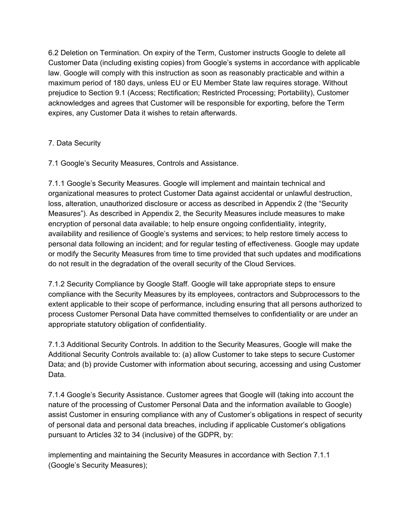6.2 Deletion on Termination. On expiry of the Term, Customer instructs Google to delete all Customer Data (including existing copies) from Google's systems in accordance with applicable law. Google will comply with this instruction as soon as reasonably practicable and within a maximum period of 180 days, unless EU or EU Member State law requires storage. Without prejudice to Section 9.1 (Access; Rectification; Restricted Processing; Portability), Customer acknowledges and agrees that Customer will be responsible for exporting, before the Term expires, any Customer Data it wishes to retain afterwards.

# 7. Data Security

7.1 Google's Security Measures, Controls and Assistance.

7.1.1 Google's Security Measures. Google will implement and maintain technical and organizational measures to protect Customer Data against accidental or unlawful destruction, loss, alteration, unauthorized disclosure or access as described in Appendix 2 (the "Security Measures"). As described in Appendix 2, the Security Measures include measures to make encryption of personal data available; to help ensure ongoing confidentiality, integrity, availability and resilience of Google's systems and services; to help restore timely access to personal data following an incident; and for regular testing of effectiveness. Google may update or modify the Security Measures from time to time provided that such updates and modifications do not result in the degradation of the overall security of the Cloud Services.

7.1.2 Security Compliance by Google Staff. Google will take appropriate steps to ensure compliance with the Security Measures by its employees, contractors and Subprocessors to the extent applicable to their scope of performance, including ensuring that all persons authorized to process Customer Personal Data have committed themselves to confidentiality or are under an appropriate statutory obligation of confidentiality.

7.1.3 Additional Security Controls. In addition to the Security Measures, Google will make the Additional Security Controls available to: (a) allow Customer to take steps to secure Customer Data; and (b) provide Customer with information about securing, accessing and using Customer Data.

7.1.4 Google's Security Assistance. Customer agrees that Google will (taking into account the nature of the processing of Customer Personal Data and the information available to Google) assist Customer in ensuring compliance with any of Customer's obligations in respect of security of personal data and personal data breaches, including if applicable Customer's obligations pursuant to Articles 32 to 34 (inclusive) of the GDPR, by:

implementing and maintaining the Security Measures in accordance with Section 7.1.1 (Google's Security Measures);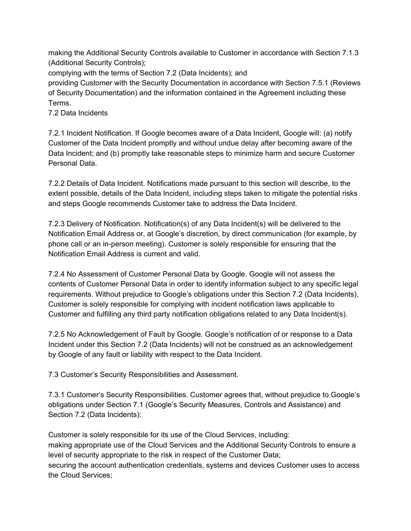making the Additional Security Controls available to Customer in accordance with Section 7.1.3 (Additional Security Controls);

complying with the terms of Section 7.2 (Data Incidents); and

providing Customer with the Security Documentation in accordance with Section 7.5.1 (Reviews of Security Documentation) and the information contained in the Agreement including these Terms.

7.2 Data Incidents

7.2.1 Incident Notification. If Google becomes aware of a Data Incident, Google will: (a) notify Customer of the Data Incident promptly and without undue delay after becoming aware of the Data Incident; and (b) promptly take reasonable steps to minimize harm and secure Customer Personal Data.

7.2.2 Details of Data Incident. Notifications made pursuant to this section will describe, to the extent possible, details of the Data Incident, including steps taken to mitigate the potential risks and steps Google recommends Customer take to address the Data Incident.

7.2.3 Delivery of Notification. Notification(s) of any Data Incident(s) will be delivered to the Notification Email Address or, at Google's discretion, by direct communication (for example, by phone call or an in-person meeting). Customer is solely responsible for ensuring that the Notification Email Address is current and valid.

7.2.4 No Assessment of Customer Personal Data by Google. Google will not assess the contents of Customer Personal Data in order to identify information subject to any specific legal requirements. Without prejudice to Google's obligations under this Section 7.2 (Data Incidents), Customer is solely responsible for complying with incident notification laws applicable to Customer and fulfilling any third party notification obligations related to any Data Incident(s).

7.2.5 No Acknowledgement of Fault by Google. Google's notification of or response to a Data Incident under this Section 7.2 (Data Incidents) will not be construed as an acknowledgement by Google of any fault or liability with respect to the Data Incident.

7.3 Customer's Security Responsibilities and Assessment.

7.3.1 Customer's Security Responsibilities. Customer agrees that, without prejudice to Google's obligations under Section 7.1 (Google's Security Measures, Controls and Assistance) and Section 7.2 (Data Incidents):

Customer is solely responsible for its use of the Cloud Services, including: making appropriate use of the Cloud Services and the Additional Security Controls to ensure a level of security appropriate to the risk in respect of the Customer Data; securing the account authentication credentials, systems and devices Customer uses to access the Cloud Services;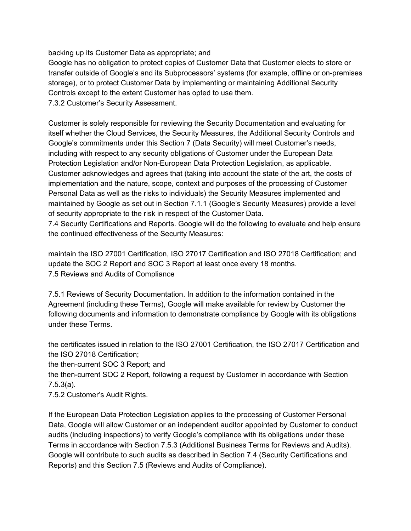backing up its Customer Data as appropriate; and

Google has no obligation to protect copies of Customer Data that Customer elects to store or transfer outside of Google's and its Subprocessors' systems (for example, offline or on-premises storage), or to protect Customer Data by implementing or maintaining Additional Security Controls except to the extent Customer has opted to use them. 7.3.2 Customer's Security Assessment.

Customer is solely responsible for reviewing the Security Documentation and evaluating for itself whether the Cloud Services, the Security Measures, the Additional Security Controls and Google's commitments under this Section 7 (Data Security) will meet Customer's needs, including with respect to any security obligations of Customer under the European Data Protection Legislation and/or Non-European Data Protection Legislation, as applicable. Customer acknowledges and agrees that (taking into account the state of the art, the costs of implementation and the nature, scope, context and purposes of the processing of Customer Personal Data as well as the risks to individuals) the Security Measures implemented and maintained by Google as set out in Section 7.1.1 (Google's Security Measures) provide a level of security appropriate to the risk in respect of the Customer Data.

7.4 Security Certifications and Reports. Google will do the following to evaluate and help ensure the continued effectiveness of the Security Measures:

maintain the ISO 27001 Certification, ISO 27017 Certification and ISO 27018 Certification; and update the SOC 2 Report and SOC 3 Report at least once every 18 months. 7.5 Reviews and Audits of Compliance

7.5.1 Reviews of Security Documentation. In addition to the information contained in the Agreement (including these Terms), Google will make available for review by Customer the following documents and information to demonstrate compliance by Google with its obligations under these Terms.

the certificates issued in relation to the ISO 27001 Certification, the ISO 27017 Certification and the ISO 27018 Certification;

the then-current SOC 3 Report; and

the then-current SOC 2 Report, following a request by Customer in accordance with Section 7.5.3(a).

7.5.2 Customer's Audit Rights.

If the European Data Protection Legislation applies to the processing of Customer Personal Data, Google will allow Customer or an independent auditor appointed by Customer to conduct audits (including inspections) to verify Google's compliance with its obligations under these Terms in accordance with Section 7.5.3 (Additional Business Terms for Reviews and Audits). Google will contribute to such audits as described in Section 7.4 (Security Certifications and Reports) and this Section 7.5 (Reviews and Audits of Compliance).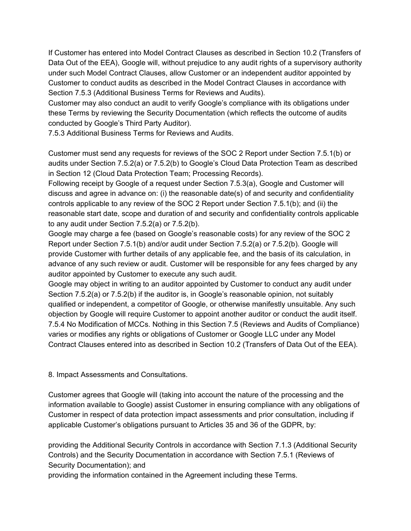If Customer has entered into Model Contract Clauses as described in Section 10.2 (Transfers of Data Out of the EEA), Google will, without prejudice to any audit rights of a supervisory authority under such Model Contract Clauses, allow Customer or an independent auditor appointed by Customer to conduct audits as described in the Model Contract Clauses in accordance with Section 7.5.3 (Additional Business Terms for Reviews and Audits).

Customer may also conduct an audit to verify Google's compliance with its obligations under these Terms by reviewing the Security Documentation (which reflects the outcome of audits conducted by Google's Third Party Auditor).

7.5.3 Additional Business Terms for Reviews and Audits.

Customer must send any requests for reviews of the SOC 2 Report under Section 7.5.1(b) or audits under Section 7.5.2(a) or 7.5.2(b) to Google's Cloud Data Protection Team as described in Section 12 (Cloud Data Protection Team; Processing Records).

Following receipt by Google of a request under Section 7.5.3(a), Google and Customer will discuss and agree in advance on: (i) the reasonable date(s) of and security and confidentiality controls applicable to any review of the SOC 2 Report under Section 7.5.1(b); and (ii) the reasonable start date, scope and duration of and security and confidentiality controls applicable to any audit under Section 7.5.2(a) or 7.5.2(b).

Google may charge a fee (based on Google's reasonable costs) for any review of the SOC 2 Report under Section 7.5.1(b) and/or audit under Section 7.5.2(a) or 7.5.2(b). Google will provide Customer with further details of any applicable fee, and the basis of its calculation, in advance of any such review or audit. Customer will be responsible for any fees charged by any auditor appointed by Customer to execute any such audit.

Google may object in writing to an auditor appointed by Customer to conduct any audit under Section 7.5.2(a) or 7.5.2(b) if the auditor is, in Google's reasonable opinion, not suitably qualified or independent, a competitor of Google, or otherwise manifestly unsuitable. Any such objection by Google will require Customer to appoint another auditor or conduct the audit itself. 7.5.4 No Modification of MCCs. Nothing in this Section 7.5 (Reviews and Audits of Compliance) varies or modifies any rights or obligations of Customer or Google LLC under any Model Contract Clauses entered into as described in Section 10.2 (Transfers of Data Out of the EEA).

8. Impact Assessments and Consultations.

Customer agrees that Google will (taking into account the nature of the processing and the information available to Google) assist Customer in ensuring compliance with any obligations of Customer in respect of data protection impact assessments and prior consultation, including if applicable Customer's obligations pursuant to Articles 35 and 36 of the GDPR, by:

providing the Additional Security Controls in accordance with Section 7.1.3 (Additional Security Controls) and the Security Documentation in accordance with Section 7.5.1 (Reviews of Security Documentation); and

providing the information contained in the Agreement including these Terms.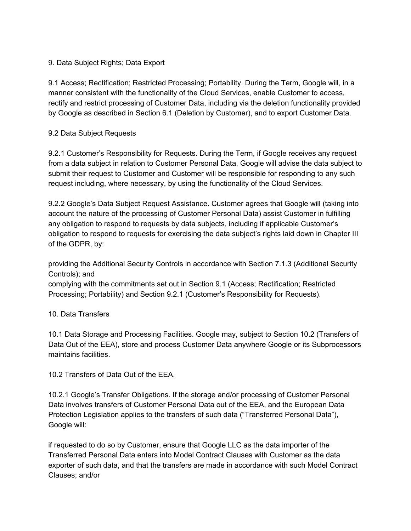### 9. Data Subject Rights; Data Export

9.1 Access; Rectification; Restricted Processing; Portability. During the Term, Google will, in a manner consistent with the functionality of the Cloud Services, enable Customer to access, rectify and restrict processing of Customer Data, including via the deletion functionality provided by Google as described in Section 6.1 (Deletion by Customer), and to export Customer Data.

### 9.2 Data Subject Requests

9.2.1 Customer's Responsibility for Requests. During the Term, if Google receives any request from a data subject in relation to Customer Personal Data, Google will advise the data subject to submit their request to Customer and Customer will be responsible for responding to any such request including, where necessary, by using the functionality of the Cloud Services.

9.2.2 Google's Data Subject Request Assistance. Customer agrees that Google will (taking into account the nature of the processing of Customer Personal Data) assist Customer in fulfilling any obligation to respond to requests by data subjects, including if applicable Customer's obligation to respond to requests for exercising the data subject's rights laid down in Chapter III of the GDPR, by:

providing the Additional Security Controls in accordance with Section 7.1.3 (Additional Security Controls); and

complying with the commitments set out in Section 9.1 (Access; Rectification; Restricted Processing; Portability) and Section 9.2.1 (Customer's Responsibility for Requests).

### 10. Data Transfers

10.1 Data Storage and Processing Facilities. Google may, subject to Section 10.2 (Transfers of Data Out of the EEA), store and process Customer Data anywhere Google or its Subprocessors maintains facilities.

10.2 Transfers of Data Out of the EEA.

10.2.1 Google's Transfer Obligations. If the storage and/or processing of Customer Personal Data involves transfers of Customer Personal Data out of the EEA, and the European Data Protection Legislation applies to the transfers of such data ("Transferred Personal Data"), Google will:

if requested to do so by Customer, ensure that Google LLC as the data importer of the Transferred Personal Data enters into Model Contract Clauses with Customer as the data exporter of such data, and that the transfers are made in accordance with such Model Contract Clauses; and/or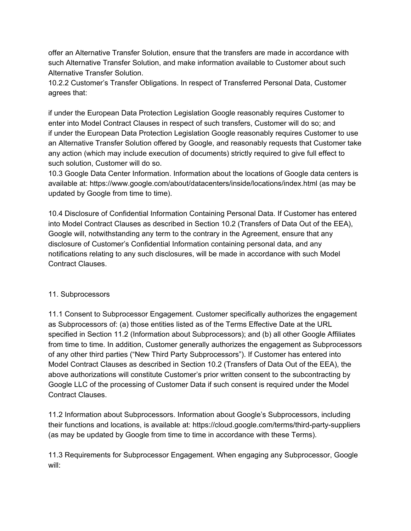offer an Alternative Transfer Solution, ensure that the transfers are made in accordance with such Alternative Transfer Solution, and make information available to Customer about such Alternative Transfer Solution.

10.2.2 Customer's Transfer Obligations. In respect of Transferred Personal Data, Customer agrees that:

if under the European Data Protection Legislation Google reasonably requires Customer to enter into Model Contract Clauses in respect of such transfers, Customer will do so; and if under the European Data Protection Legislation Google reasonably requires Customer to use an Alternative Transfer Solution offered by Google, and reasonably requests that Customer take any action (which may include execution of documents) strictly required to give full effect to such solution, Customer will do so.

10.3 Google Data Center Information. Information about the locations of Google data centers is available at: https://www.google.com/about/datacenters/inside/locations/index.html (as may be updated by Google from time to time).

10.4 Disclosure of Confidential Information Containing Personal Data. If Customer has entered into Model Contract Clauses as described in Section 10.2 (Transfers of Data Out of the EEA), Google will, notwithstanding any term to the contrary in the Agreement, ensure that any disclosure of Customer's Confidential Information containing personal data, and any notifications relating to any such disclosures, will be made in accordance with such Model Contract Clauses.

#### 11. Subprocessors

11.1 Consent to Subprocessor Engagement. Customer specifically authorizes the engagement as Subprocessors of: (a) those entities listed as of the Terms Effective Date at the URL specified in Section 11.2 (Information about Subprocessors); and (b) all other Google Affiliates from time to time. In addition, Customer generally authorizes the engagement as Subprocessors of any other third parties ("New Third Party Subprocessors"). If Customer has entered into Model Contract Clauses as described in Section 10.2 (Transfers of Data Out of the EEA), the above authorizations will constitute Customer's prior written consent to the subcontracting by Google LLC of the processing of Customer Data if such consent is required under the Model Contract Clauses.

11.2 Information about Subprocessors. Information about Google's Subprocessors, including their functions and locations, is available at: https://cloud.google.com/terms/third-party-suppliers (as may be updated by Google from time to time in accordance with these Terms).

11.3 Requirements for Subprocessor Engagement. When engaging any Subprocessor, Google will: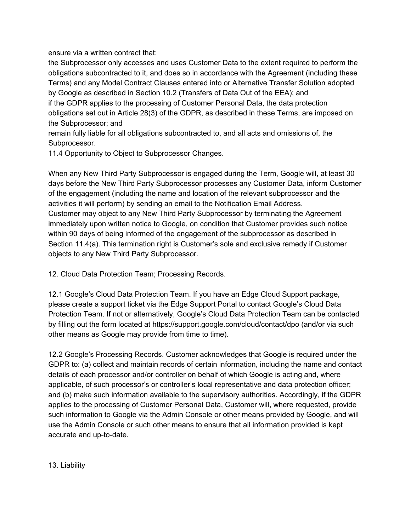ensure via a written contract that:

the Subprocessor only accesses and uses Customer Data to the extent required to perform the obligations subcontracted to it, and does so in accordance with the Agreement (including these Terms) and any Model Contract Clauses entered into or Alternative Transfer Solution adopted by Google as described in Section 10.2 (Transfers of Data Out of the EEA); and if the GDPR applies to the processing of Customer Personal Data, the data protection obligations set out in Article 28(3) of the GDPR, as described in these Terms, are imposed on the Subprocessor; and

remain fully liable for all obligations subcontracted to, and all acts and omissions of, the Subprocessor.

11.4 Opportunity to Object to Subprocessor Changes.

When any New Third Party Subprocessor is engaged during the Term, Google will, at least 30 days before the New Third Party Subprocessor processes any Customer Data, inform Customer of the engagement (including the name and location of the relevant subprocessor and the activities it will perform) by sending an email to the Notification Email Address. Customer may object to any New Third Party Subprocessor by terminating the Agreement immediately upon written notice to Google, on condition that Customer provides such notice within 90 days of being informed of the engagement of the subprocessor as described in Section 11.4(a). This termination right is Customer's sole and exclusive remedy if Customer objects to any New Third Party Subprocessor.

12. Cloud Data Protection Team; Processing Records.

12.1 Google's Cloud Data Protection Team. If you have an Edge Cloud Support package, please create a support ticket via the Edge Support Portal to contact Google's Cloud Data Protection Team. If not or alternatively, Google's Cloud Data Protection Team can be contacted by filling out the form located at https://support.google.com/cloud/contact/dpo (and/or via such other means as Google may provide from time to time).

12.2 Google's Processing Records. Customer acknowledges that Google is required under the GDPR to: (a) collect and maintain records of certain information, including the name and contact details of each processor and/or controller on behalf of which Google is acting and, where applicable, of such processor's or controller's local representative and data protection officer; and (b) make such information available to the supervisory authorities. Accordingly, if the GDPR applies to the processing of Customer Personal Data, Customer will, where requested, provide such information to Google via the Admin Console or other means provided by Google, and will use the Admin Console or such other means to ensure that all information provided is kept accurate and up-to-date.

13. Liability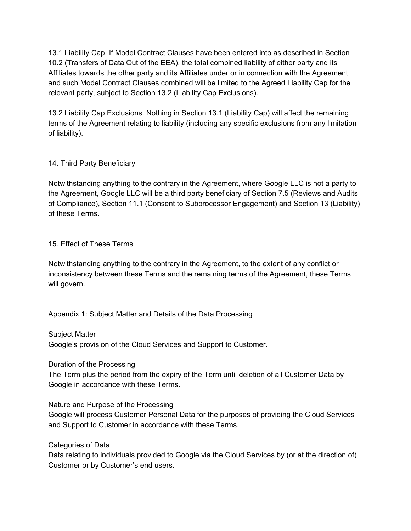13.1 Liability Cap. If Model Contract Clauses have been entered into as described in Section 10.2 (Transfers of Data Out of the EEA), the total combined liability of either party and its Affiliates towards the other party and its Affiliates under or in connection with the Agreement and such Model Contract Clauses combined will be limited to the Agreed Liability Cap for the relevant party, subject to Section 13.2 (Liability Cap Exclusions).

13.2 Liability Cap Exclusions. Nothing in Section 13.1 (Liability Cap) will affect the remaining terms of the Agreement relating to liability (including any specific exclusions from any limitation of liability).

### 14. Third Party Beneficiary

Notwithstanding anything to the contrary in the Agreement, where Google LLC is not a party to the Agreement, Google LLC will be a third party beneficiary of Section 7.5 (Reviews and Audits of Compliance), Section 11.1 (Consent to Subprocessor Engagement) and Section 13 (Liability) of these Terms.

### 15. Effect of These Terms

Notwithstanding anything to the contrary in the Agreement, to the extent of any conflict or inconsistency between these Terms and the remaining terms of the Agreement, these Terms will govern.

Appendix 1: Subject Matter and Details of the Data Processing

Subject Matter

Google's provision of the Cloud Services and Support to Customer.

Duration of the Processing

The Term plus the period from the expiry of the Term until deletion of all Customer Data by Google in accordance with these Terms.

Nature and Purpose of the Processing

Google will process Customer Personal Data for the purposes of providing the Cloud Services and Support to Customer in accordance with these Terms.

Categories of Data

Data relating to individuals provided to Google via the Cloud Services by (or at the direction of) Customer or by Customer's end users.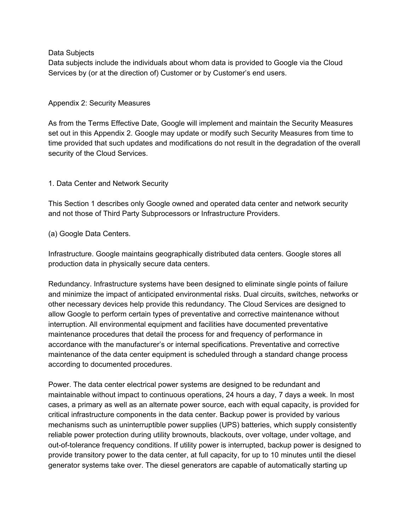Data Subjects

Data subjects include the individuals about whom data is provided to Google via the Cloud Services by (or at the direction of) Customer or by Customer's end users.

#### Appendix 2: Security Measures

As from the Terms Effective Date, Google will implement and maintain the Security Measures set out in this Appendix 2. Google may update or modify such Security Measures from time to time provided that such updates and modifications do not result in the degradation of the overall security of the Cloud Services.

### 1. Data Center and Network Security

This Section 1 describes only Google owned and operated data center and network security and not those of Third Party Subprocessors or Infrastructure Providers.

#### (a) Google Data Centers.

Infrastructure. Google maintains geographically distributed data centers. Google stores all production data in physically secure data centers.

Redundancy. Infrastructure systems have been designed to eliminate single points of failure and minimize the impact of anticipated environmental risks. Dual circuits, switches, networks or other necessary devices help provide this redundancy. The Cloud Services are designed to allow Google to perform certain types of preventative and corrective maintenance without interruption. All environmental equipment and facilities have documented preventative maintenance procedures that detail the process for and frequency of performance in accordance with the manufacturer's or internal specifications. Preventative and corrective maintenance of the data center equipment is scheduled through a standard change process according to documented procedures.

Power. The data center electrical power systems are designed to be redundant and maintainable without impact to continuous operations, 24 hours a day, 7 days a week. In most cases, a primary as well as an alternate power source, each with equal capacity, is provided for critical infrastructure components in the data center. Backup power is provided by various mechanisms such as uninterruptible power supplies (UPS) batteries, which supply consistently reliable power protection during utility brownouts, blackouts, over voltage, under voltage, and out-of-tolerance frequency conditions. If utility power is interrupted, backup power is designed to provide transitory power to the data center, at full capacity, for up to 10 minutes until the diesel generator systems take over. The diesel generators are capable of automatically starting up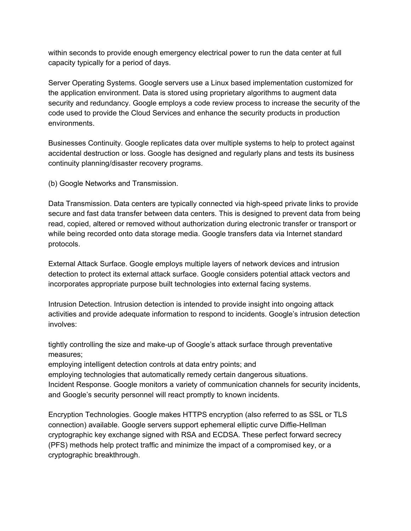within seconds to provide enough emergency electrical power to run the data center at full capacity typically for a period of days.

Server Operating Systems. Google servers use a Linux based implementation customized for the application environment. Data is stored using proprietary algorithms to augment data security and redundancy. Google employs a code review process to increase the security of the code used to provide the Cloud Services and enhance the security products in production environments.

Businesses Continuity. Google replicates data over multiple systems to help to protect against accidental destruction or loss. Google has designed and regularly plans and tests its business continuity planning/disaster recovery programs.

(b) Google Networks and Transmission.

Data Transmission. Data centers are typically connected via high-speed private links to provide secure and fast data transfer between data centers. This is designed to prevent data from being read, copied, altered or removed without authorization during electronic transfer or transport or while being recorded onto data storage media. Google transfers data via Internet standard protocols.

External Attack Surface. Google employs multiple layers of network devices and intrusion detection to protect its external attack surface. Google considers potential attack vectors and incorporates appropriate purpose built technologies into external facing systems.

Intrusion Detection. Intrusion detection is intended to provide insight into ongoing attack activities and provide adequate information to respond to incidents. Google's intrusion detection involves:

tightly controlling the size and make-up of Google's attack surface through preventative measures;

employing intelligent detection controls at data entry points; and

employing technologies that automatically remedy certain dangerous situations. Incident Response. Google monitors a variety of communication channels for security incidents, and Google's security personnel will react promptly to known incidents.

Encryption Technologies. Google makes HTTPS encryption (also referred to as SSL or TLS connection) available. Google servers support ephemeral elliptic curve Diffie-Hellman cryptographic key exchange signed with RSA and ECDSA. These perfect forward secrecy (PFS) methods help protect traffic and minimize the impact of a compromised key, or a cryptographic breakthrough.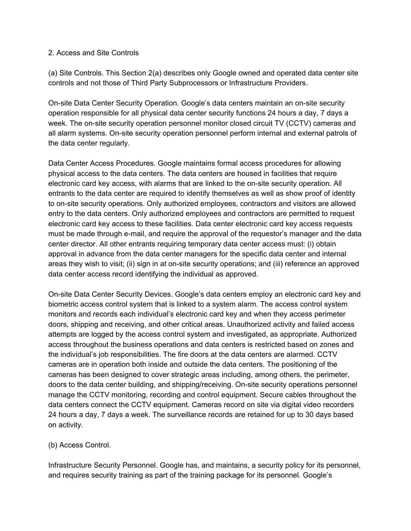#### 2. Access and Site Controls

(a) Site Controls. This Section 2(a) describes only Google owned and operated data center site controls and not those of Third Party Subprocessors or Infrastructure Providers.

On-site Data Center Security Operation. Google's data centers maintain an on-site security operation responsible for all physical data center security functions 24 hours a day, 7 days a week. The on-site security operation personnel monitor closed circuit TV (CCTV) cameras and all alarm systems. On-site security operation personnel perform internal and external patrols of the data center regularly.

Data Center Access Procedures. Google maintains formal access procedures for allowing physical access to the data centers. The data centers are housed in facilities that require electronic card key access, with alarms that are linked to the on-site security operation. All entrants to the data center are required to identify themselves as well as show proof of identity to on-site security operations. Only authorized employees, contractors and visitors are allowed entry to the data centers. Only authorized employees and contractors are permitted to request electronic card key access to these facilities. Data center electronic card key access requests must be made through e-mail, and require the approval of the requestor's manager and the data center director. All other entrants requiring temporary data center access must: (i) obtain approval in advance from the data center managers for the specific data center and internal areas they wish to visit; (ii) sign in at on-site security operations; and (iii) reference an approved data center access record identifying the individual as approved.

On-site Data Center Security Devices. Google's data centers employ an electronic card key and biometric access control system that is linked to a system alarm. The access control system monitors and records each individual's electronic card key and when they access perimeter doors, shipping and receiving, and other critical areas. Unauthorized activity and failed access attempts are logged by the access control system and investigated, as appropriate. Authorized access throughout the business operations and data centers is restricted based on zones and the individual's job responsibilities. The fire doors at the data centers are alarmed. CCTV cameras are in operation both inside and outside the data centers. The positioning of the cameras has been designed to cover strategic areas including, among others, the perimeter, doors to the data center building, and shipping/receiving. On-site security operations personnel manage the CCTV monitoring, recording and control equipment. Secure cables throughout the data centers connect the CCTV equipment. Cameras record on site via digital video recorders 24 hours a day, 7 days a week. The surveillance records are retained for up to 30 days based on activity.

#### (b) Access Control.

Infrastructure Security Personnel. Google has, and maintains, a security policy for its personnel, and requires security training as part of the training package for its personnel. Google's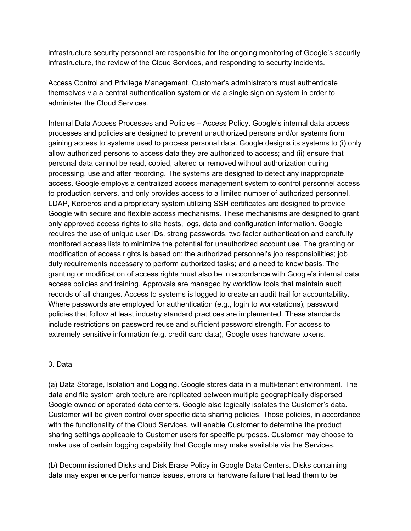infrastructure security personnel are responsible for the ongoing monitoring of Google's security infrastructure, the review of the Cloud Services, and responding to security incidents.

Access Control and Privilege Management. Customer's administrators must authenticate themselves via a central authentication system or via a single sign on system in order to administer the Cloud Services.

Internal Data Access Processes and Policies – Access Policy. Google's internal data access processes and policies are designed to prevent unauthorized persons and/or systems from gaining access to systems used to process personal data. Google designs its systems to (i) only allow authorized persons to access data they are authorized to access; and (ii) ensure that personal data cannot be read, copied, altered or removed without authorization during processing, use and after recording. The systems are designed to detect any inappropriate access. Google employs a centralized access management system to control personnel access to production servers, and only provides access to a limited number of authorized personnel. LDAP, Kerberos and a proprietary system utilizing SSH certificates are designed to provide Google with secure and flexible access mechanisms. These mechanisms are designed to grant only approved access rights to site hosts, logs, data and configuration information. Google requires the use of unique user IDs, strong passwords, two factor authentication and carefully monitored access lists to minimize the potential for unauthorized account use. The granting or modification of access rights is based on: the authorized personnel's job responsibilities; job duty requirements necessary to perform authorized tasks; and a need to know basis. The granting or modification of access rights must also be in accordance with Google's internal data access policies and training. Approvals are managed by workflow tools that maintain audit records of all changes. Access to systems is logged to create an audit trail for accountability. Where passwords are employed for authentication (e.g., login to workstations), password policies that follow at least industry standard practices are implemented. These standards include restrictions on password reuse and sufficient password strength. For access to extremely sensitive information (e.g. credit card data), Google uses hardware tokens.

#### 3. Data

(a) Data Storage, Isolation and Logging. Google stores data in a multi-tenant environment. The data and file system architecture are replicated between multiple geographically dispersed Google owned or operated data centers. Google also logically isolates the Customer's data. Customer will be given control over specific data sharing policies. Those policies, in accordance with the functionality of the Cloud Services, will enable Customer to determine the product sharing settings applicable to Customer users for specific purposes. Customer may choose to make use of certain logging capability that Google may make available via the Services.

(b) Decommissioned Disks and Disk Erase Policy in Google Data Centers. Disks containing data may experience performance issues, errors or hardware failure that lead them to be